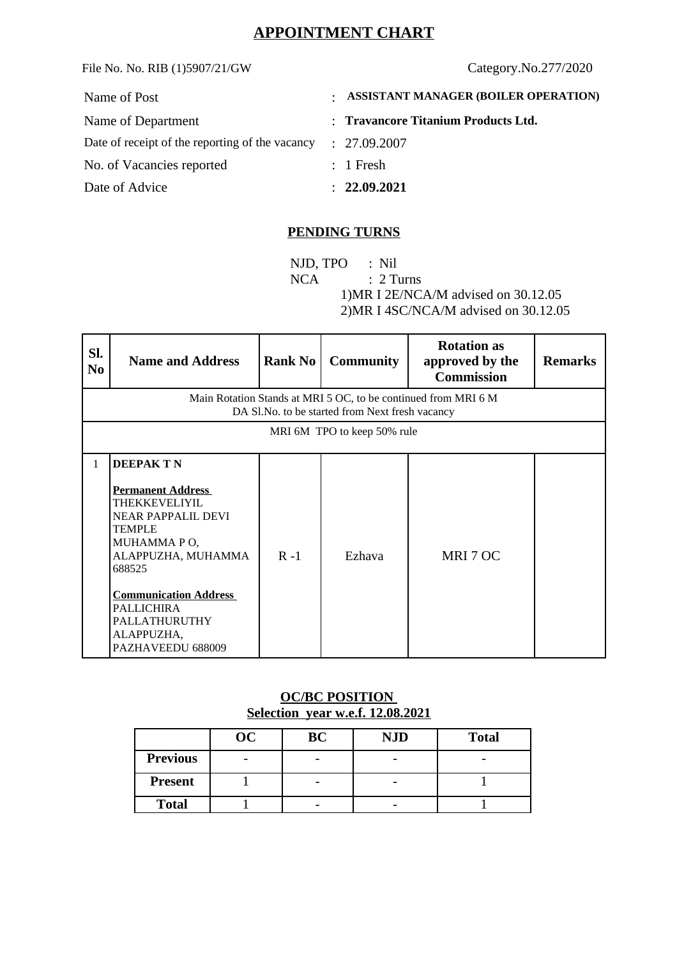# **APPOINTMENT CHART**

File No. No. RIB (1)5907/21/GW Category.No.277/2020

| Name of Post                                    | $\bullet$ . | <b>ASSISTANT MANAGER (BOILER OPERATION)</b> |
|-------------------------------------------------|-------------|---------------------------------------------|
| Name of Department                              |             | : Travancore Titanium Products Ltd.         |
| Date of receipt of the reporting of the vacancy |             | : 27.09.2007                                |
| No. of Vacancies reported                       |             | $: 1$ Fresh                                 |
| Date of Advice                                  |             | : 22.09.2021                                |
|                                                 |             |                                             |

## **PENDING TURNS**

 NJD, TPO : Nil NCA : 2 Turns 1)MR I 2E/NCA/M advised on 30.12.05 2)MR I 4SC/NCA/M advised on 30.12.05

| SI.<br>N <sub>0</sub>                                                                                             | <b>Name and Address</b>                                                                                                                                                                                                                                             | <b>Rank No</b> | <b>Community</b> | <b>Rotation as</b><br>approved by the<br><b>Commission</b> | <b>Remarks</b> |  |  |  |  |
|-------------------------------------------------------------------------------------------------------------------|---------------------------------------------------------------------------------------------------------------------------------------------------------------------------------------------------------------------------------------------------------------------|----------------|------------------|------------------------------------------------------------|----------------|--|--|--|--|
| Main Rotation Stands at MRI 5 OC, to be continued from MRI 6 M<br>DA Sl.No. to be started from Next fresh vacancy |                                                                                                                                                                                                                                                                     |                |                  |                                                            |                |  |  |  |  |
|                                                                                                                   | MRI 6M TPO to keep 50% rule                                                                                                                                                                                                                                         |                |                  |                                                            |                |  |  |  |  |
| 1                                                                                                                 | <b>DEEPAK TN</b><br><b>Permanent Address</b><br>THEKKEVELIYIL<br><b>NEAR PAPPALIL DEVI</b><br><b>TEMPLE</b><br>MUHAMMA PO,<br>ALAPPUZHA, MUHAMMA<br>688525<br><b>Communication Address</b><br><b>PALLICHIRA</b><br>PALLATHURUTHY<br>ALAPPUZHA,<br>PAZHAVEEDU 688009 | $R - 1$        | Ezhava           | MRI 7 OC                                                   |                |  |  |  |  |

### **OC/BC POSITION Selection year w.e.f. 12.08.2021**

|                 | OC | BC | <b>NJD</b> | <b>Total</b> |
|-----------------|----|----|------------|--------------|
| <b>Previous</b> | -  | -  | -          |              |
| <b>Present</b>  |    | -  | -          |              |
| <b>Total</b>    |    | -  | -          |              |